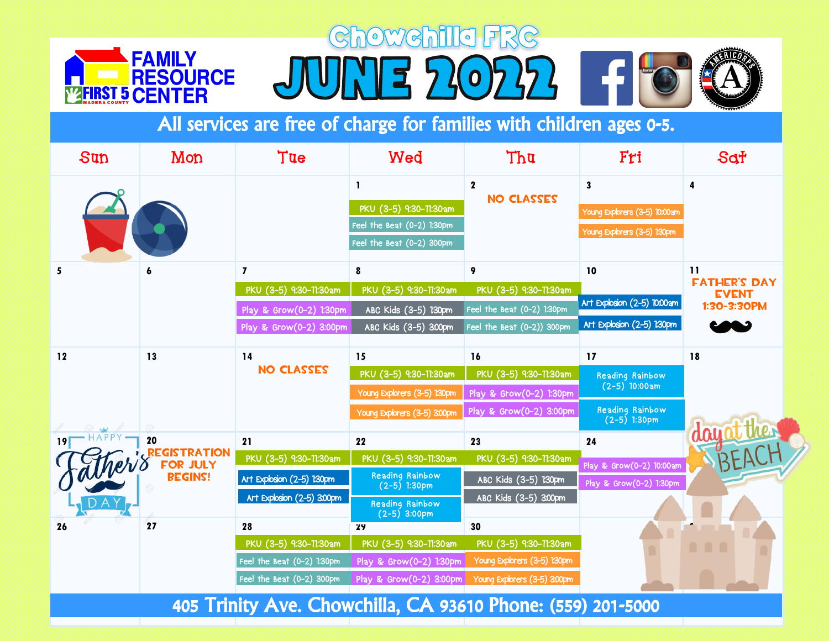

## Chowchilla FRC  $7027$ **AUH**



## All services are free of charge for families with children ages 0-5.

| Sun                   | Mon                                                       | Tue                                                                                            | Wed                                                                                                                                         | Thu                                                                                     | Fri                                                                                  | Sat                                               |
|-----------------------|-----------------------------------------------------------|------------------------------------------------------------------------------------------------|---------------------------------------------------------------------------------------------------------------------------------------------|-----------------------------------------------------------------------------------------|--------------------------------------------------------------------------------------|---------------------------------------------------|
|                       |                                                           |                                                                                                | ı.<br>PKU (3-5) 9:30-11:30am<br>Feel the Beat (0-2) 1:30pm<br>Feel the Beat (0-2) 300pm                                                     | $\mathbf{2}$<br><b>NO CLASSES</b>                                                       | 3<br>Young Explorers (3-5) 10:00am<br>Young Explorers (3-5) 130pm                    | 4                                                 |
| 5                     | 6                                                         | $\overline{7}$<br>PKU (3-5) 9:30-11:30am<br>Play & Grow(0-2) 1:30pm<br>Play & Grow(0-2) 3:00pm | 8<br>PKU (3-5) 9:30-11:30am<br>ABC Kids (3-5) 130pm<br>ABC Kids (3-5) 3:00pm                                                                | 9<br>PKU (3-5) 9:30-11:30am<br>Feel the Beat (0-2) 1:30pm<br>Feel the Beat (0-2)) 300pm | 10<br>Art Explosion (2-5) 10:00am<br>Art Explosion (2-5) 130pm                       | 11<br><b>FATHER'S DAY</b><br>EVENT<br>1:30-3:30PM |
| 12                    | 13                                                        | 14<br><b>NO CLASSES</b>                                                                        | 15<br>PKU (3-5) 9:30-11:30am<br>Young Explorers (3-5) 130pm<br>Young Explorers (3-5) 3.00pm                                                 | 16<br>PKU (3-5) 9:30-11:30am<br>Play & Grow(0-2) 1:30pm<br>Play & Grow(0-2) 3:00pm      | 17<br><b>Reading Rainbow</b><br>$(2-5)$ 10:00am<br>Reading Rainbow<br>$(2-5)$ 1:30pm | 18                                                |
| 19 <sub>1</sub><br>26 | 20<br>REGISTRATION<br><b>JULY</b><br><b>BEGINS!</b><br>27 | 21<br>PKU (3-5) 9:30-11:30am<br>Art Explosion (2-5) 130pm<br>Art Explosion (2-5) 3:00pm<br>28  | 22<br>PKU (3-5) 9:30-11:30am<br>Reading Rainbow<br>$(2-5)$ 1:30pm<br>Reading Rainbow<br>$(2-5)$ 3:00pm<br>29                                | 23<br>PKU (3-5) 9:30-11:30am<br>ABC Kids (3-5) 130pm<br>ABC Kids (3-5) 3:00pm<br>30     | 24<br>Play & Grow(0-2) 10:00am<br>Play & Grow(0-2) 1:30pm                            |                                                   |
|                       |                                                           | PKU (3-5) 9:30-77:30am<br>Feel the Beat (0-2) 1:30pm<br>Feel the Beat (0-2) 300pm              | PKU (3-5) 9:30-71:30am<br>Play & Grow(0-2) 1:30pm<br>Play & Grow(0-2) 3:00pm<br>405 Trinity Ave. Chowchilla, CA 93610 Phone: (559) 201-5000 | PKU (3-5) 9:30-77:30am<br>Young Explorers (3-5) 130pm<br>Young Explorers (3-5) 300pm    |                                                                                      |                                                   |